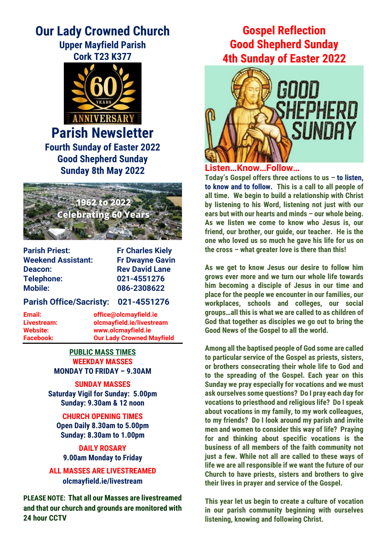# **Our Lady Crowned Church Upper Mayfield Parish**

**Cork T23 K377**



**Parish Newsletter Fourth Sunday of Easter 2022 Good Shepherd Sunday Sunday 8th May 2022**



**Parish Priest:** Fr Charles Kiely **Weekend Assistant: Fr Dwayne Gavin Deacon:** Rev David Lane **Telephone: 021-4551276 Mobile: 086-2308622**

#### **Parish Office/Sacristy: 021-4551276**

**Email: office@olcmayfield.ie Livestream: olcmayfield.ie/livestream Website: www.olcmayfield.ie Facebook: Our Lady Crowned Mayfield**

> **PUBLIC MASS TIMES WEEKDAY MASSES MONDAY TO FRIDAY – 9.30AM**

**SUNDAY MASSES Saturday Vigil for Sunday: 5.00pm Sunday: 9.30am & 12 noon**

**CHURCH OPENING TIMES Open Daily 8.30am to 5.00pm Sunday: 8.30am to 1.00pm**

**DAILY ROSARY 9.00am Monday to Friday**

**ALL MASSES ARE LIVESTREAMED olcmayfield.ie/livestream**

**PLEASE NOTE: That all our Masses are livestreamed and that our church and grounds are monitored with 24 hour CCTV** 

## **Gospel Reflection Good Shepherd Sunday 4th Sunday of Easter 2022**



## **Listen…Know…Follow…**

**Today's Gospel offers three actions to us – to listen, to know and to follow. This is a call to all people of all time. We begin to build a relationship with Christ by listening to his Word, listening not just with our ears but with our hearts and minds – our whole being. As we listen we come to know who Jesus is, our friend, our brother, our guide, our teacher. He is the one who loved us so much he gave his life for us on the cross – what greater love is there than this!** 

**As we get to know Jesus our desire to follow him grows ever more and we turn our whole life towards him becoming a disciple of Jesus in our time and place for the people we encounter in our families, our workplaces, schools and colleges, our social groups…all this is what we are called to as children of God that together as disciples we go out to bring the Good News of the Gospel to all the world.**

**Among all the baptised people of God some are called to particular service of the Gospel as priests, sisters, or brothers consecrating their whole life to God and to the spreading of the Gospel. Each year on this Sunday we pray especially for vocations and we must ask ourselves some questions? Do I pray each day for vocations to priesthood and religious life? Do I speak about vocations in my family, to my work colleagues, to my friends? Do I look around my parish and invite men and women to consider this way of life? Praying for and thinking about specific vocations is the business of all members of the faith community not just a few. While not all are called to these ways of life we are all responsible if we want the future of our Church to have priests, sisters and brothers to give their lives in prayer and service of the Gospel.** 

**This year let us begin to create a culture of vocation in our parish community beginning with ourselves listening, knowing and following Christ.**